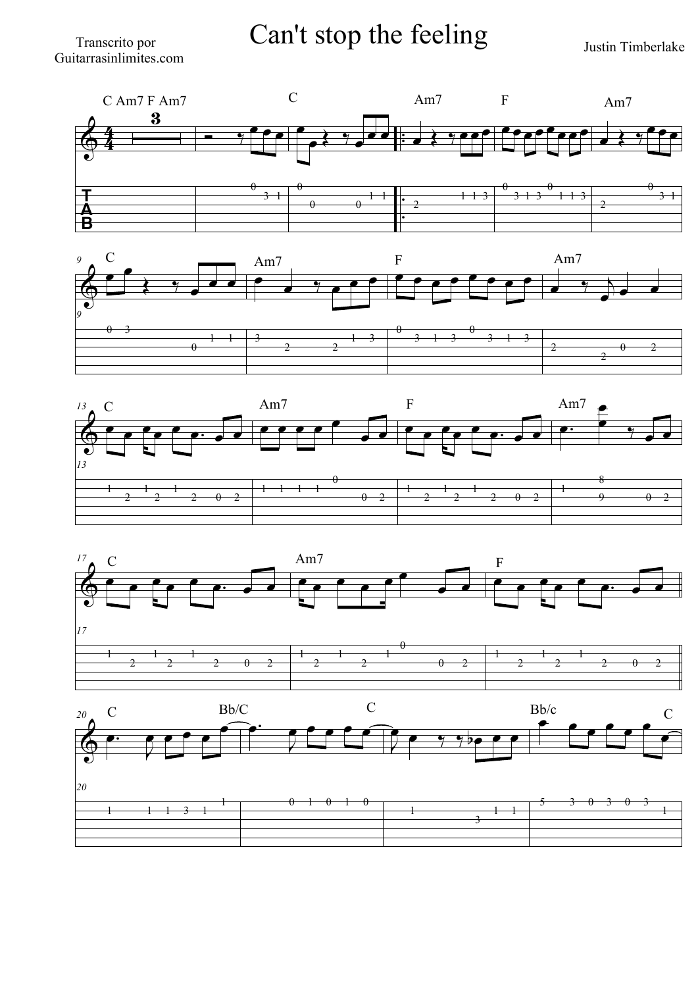## Transcrito por **Can't stop the feeling** Justin Timberlake









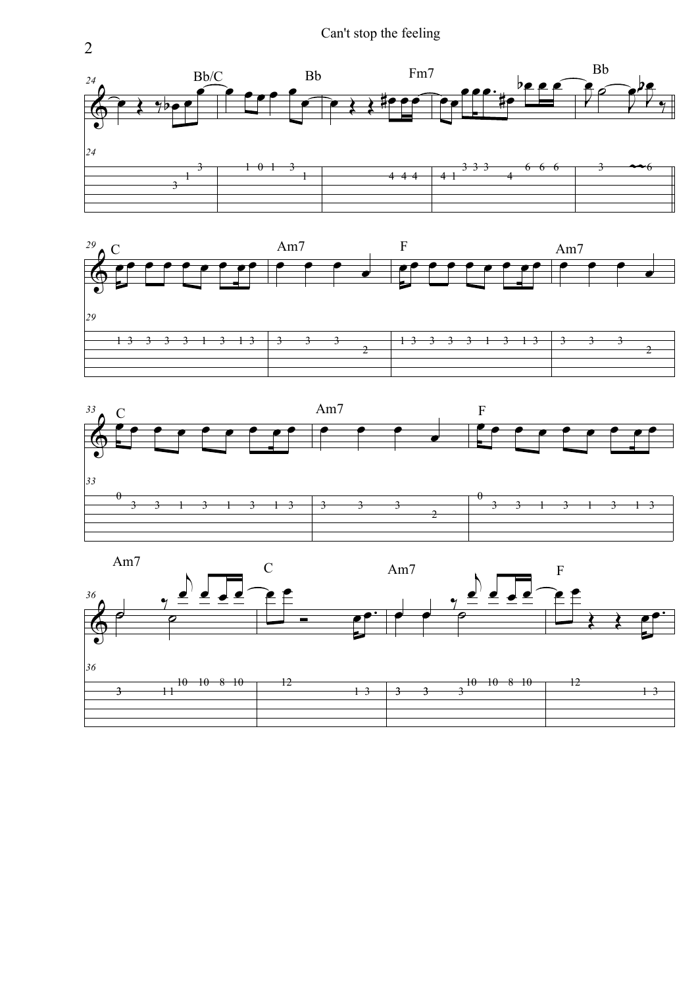